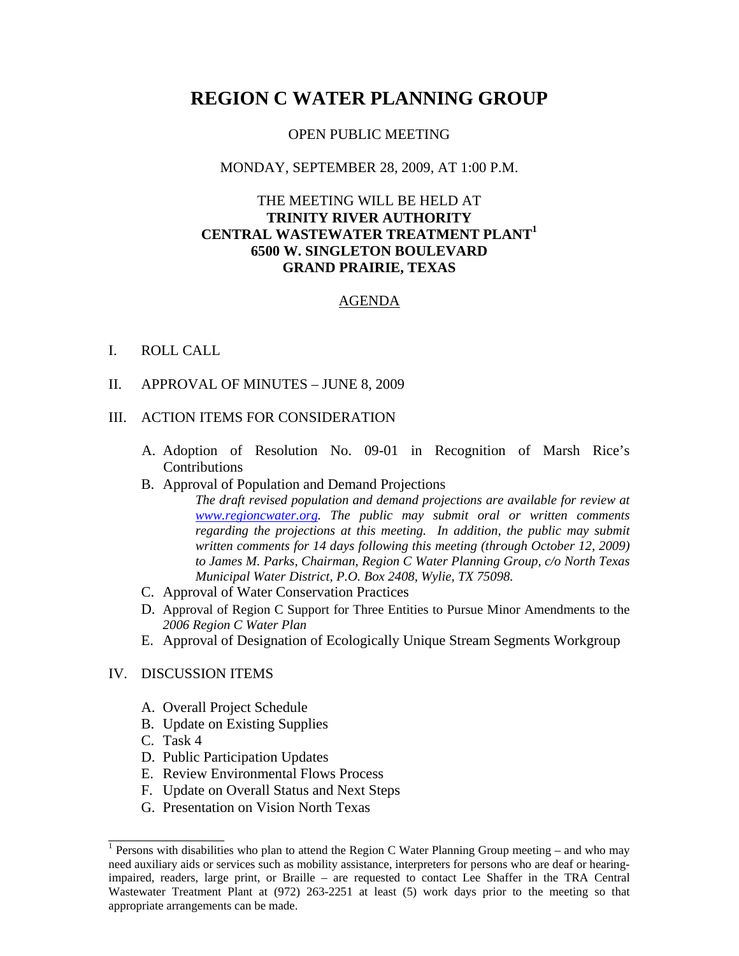# **REGION C WATER PLANNING GROUP**

#### OPEN PUBLIC MEETING

#### MONDAY, SEPTEMBER 28, 2009, AT 1:00 P.M.

## THE MEETING WILL BE HELD AT **TRINITY RIVER AUTHORITY CENTRAL WASTEWATER TREATMENT PLANT1 6500 W. SINGLETON BOULEVARD GRAND PRAIRIE, TEXAS**

#### AGENDA

#### I. ROLL CALL

II. APPROVAL OF MINUTES – JUNE 8, 2009

#### III. ACTION ITEMS FOR CONSIDERATION

A. Adoption of Resolution No. 09-01 in Recognition of Marsh Rice's Contributions

#### B. Approval of Population and Demand Projections

*The draft revised population and demand projections are available for review at www.regioncwater.org. The public may submit oral or written comments regarding the projections at this meeting. In addition, the public may submit written comments for 14 days following this meeting (through October 12, 2009) to James M. Parks, Chairman, Region C Water Planning Group, c/o North Texas Municipal Water District, P.O. Box 2408, Wylie, TX 75098.* 

- C. Approval of Water Conservation Practices
- D. Approval of Region C Support for Three Entities to Pursue Minor Amendments to the *2006 Region C Water Plan*
- E. Approval of Designation of Ecologically Unique Stream Segments Workgroup

#### IV. DISCUSSION ITEMS

- A. Overall Project Schedule
- B. Update on Existing Supplies
- C. Task 4

\_\_\_\_\_\_\_\_\_\_\_\_\_\_\_\_

- D. Public Participation Updates
- E. Review Environmental Flows Process
- F. Update on Overall Status and Next Steps
- G. Presentation on Vision North Texas

<sup>&</sup>lt;sup>1</sup> Persons with disabilities who plan to attend the Region C Water Planning Group meeting – and who may need auxiliary aids or services such as mobility assistance, interpreters for persons who are deaf or hearingimpaired, readers, large print, or Braille – are requested to contact Lee Shaffer in the TRA Central Wastewater Treatment Plant at (972) 263-2251 at least (5) work days prior to the meeting so that appropriate arrangements can be made.